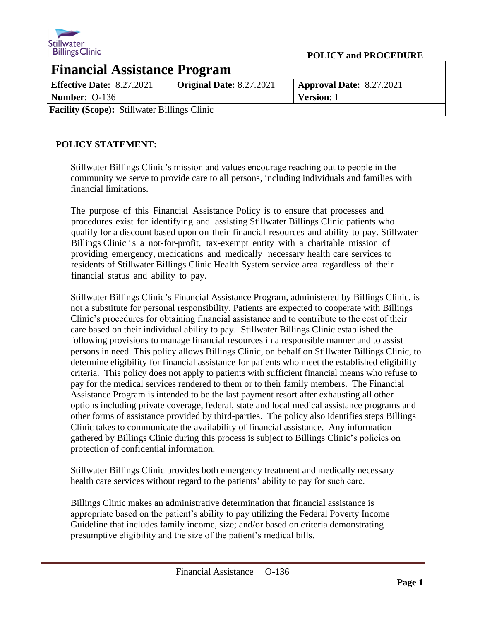

| <b>Financial Assistance Program</b>                 |                          |                                 |
|-----------------------------------------------------|--------------------------|---------------------------------|
| <b>Effective Date: 8.27.2021</b>                    | Original Date: 8.27.2021 | <b>Approval Date: 8.27.2021</b> |
| <b>Number: 0-136</b>                                |                          | <b>Version:</b> 1               |
| <b>Facility (Scope): Stillwater Billings Clinic</b> |                          |                                 |

# **POLICY STATEMENT:**

Stillwater Billings Clinic's mission and values encourage reaching out to people in the community we serve to provide care to all persons, including individuals and families with financial limitations.

The purpose of this Financial Assistance Policy is to ensure that processes and procedures exist for identifying and assisting Stillwater Billings Clinic patients who qualify for a discount based upon on their financial resources and ability to pay. Stillwater Billings Clinic is a not-for-profit, tax-exempt entity with a charitable mission of providing emergency, medications and medically necessary health care services to residents of Stillwater Billings Clinic Health System service area regardless of their financial status and ability to pay.

Stillwater Billings Clinic's Financial Assistance Program, administered by Billings Clinic, is not a substitute for personal responsibility. Patients are expected to cooperate with Billings Clinic's procedures for obtaining financial assistance and to contribute to the cost of their care based on their individual ability to pay. Stillwater Billings Clinic established the following provisions to manage financial resources in a responsible manner and to assist persons in need. This policy allows Billings Clinic, on behalf on Stillwater Billings Clinic, to determine eligibility for financial assistance for patients who meet the established eligibility criteria. This policy does not apply to patients with sufficient financial means who refuse to pay for the medical services rendered to them or to their family members. The Financial Assistance Program is intended to be the last payment resort after exhausting all other options including private coverage, federal, state and local medical assistance programs and other forms of assistance provided by third-parties. The policy also identifies steps Billings Clinic takes to communicate the availability of financial assistance. Any information gathered by Billings Clinic during this process is subject to Billings Clinic's policies on protection of confidential information.

Stillwater Billings Clinic provides both emergency treatment and medically necessary health care services without regard to the patients' ability to pay for such care.

Billings Clinic makes an administrative determination that financial assistance is appropriate based on the patient's ability to pay utilizing the Federal Poverty Income Guideline that includes family income, size; and/or based on criteria demonstrating presumptive eligibility and the size of the patient's medical bills.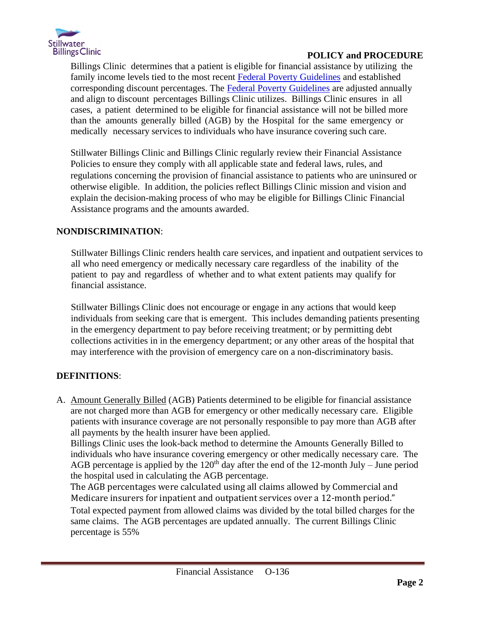

Billings Clinic determines that a patient is eligible for financial assistance by utilizing the family income levels tied to the most recent [Federal Poverty Guidelines](https://ncstoragemlbillings.blob.core.windows.net/public/Federal-Poverty-Guidelines.xlsx) and established corresponding discount percentages. The [Federal Poverty Guidelines](https://ncstoragemlbillings.blob.core.windows.net/public/Federal-Poverty-Guidelines.xlsx) are adjusted annually and align to discount percentages Billings Clinic utilizes. Billings Clinic ensures in all cases, a patient determined to be eligible for financial assistance will not be billed more than the amounts generally billed (AGB) by the Hospital for the same emergency or medically necessary services to individuals who have insurance covering such care.

Stillwater Billings Clinic and Billings Clinic regularly review their Financial Assistance Policies to ensure they comply with all applicable state and federal laws, rules, and regulations concerning the provision of financial assistance to patients who are uninsured or otherwise eligible. In addition, the policies reflect Billings Clinic mission and vision and explain the decision-making process of who may be eligible for Billings Clinic Financial Assistance programs and the amounts awarded.

# **NONDISCRIMINATION**:

Stillwater Billings Clinic renders health care services, and inpatient and outpatient services to all who need emergency or medically necessary care regardless of the inability of the patient to pay and regardless of whether and to what extent patients may qualify for financial assistance.

Stillwater Billings Clinic does not encourage or engage in any actions that would keep individuals from seeking care that is emergent. This includes demanding patients presenting in the emergency department to pay before receiving treatment; or by permitting debt collections activities in in the emergency department; or any other areas of the hospital that may interference with the provision of emergency care on a non-discriminatory basis.

# **DEFINITIONS**:

A. Amount Generally Billed (AGB) Patients determined to be eligible for financial assistance are not charged more than AGB for emergency or other medically necessary care. Eligible patients with insurance coverage are not personally responsible to pay more than AGB after all payments by the health insurer have been applied.

Billings Clinic uses the look-back method to determine the Amounts Generally Billed to individuals who have insurance covering emergency or other medically necessary care. The AGB percentage is applied by the  $120<sup>th</sup>$  day after the end of the 12-month July – June period the hospital used in calculating the AGB percentage.

The AGB percentages were calculated using all claims allowed by Commercial and Medicare insurers for inpatient and outpatient services over a 12-month period."

Total expected payment from allowed claims was divided by the total billed charges for the same claims. The AGB percentages are updated annually. The current Billings Clinic percentage is 55%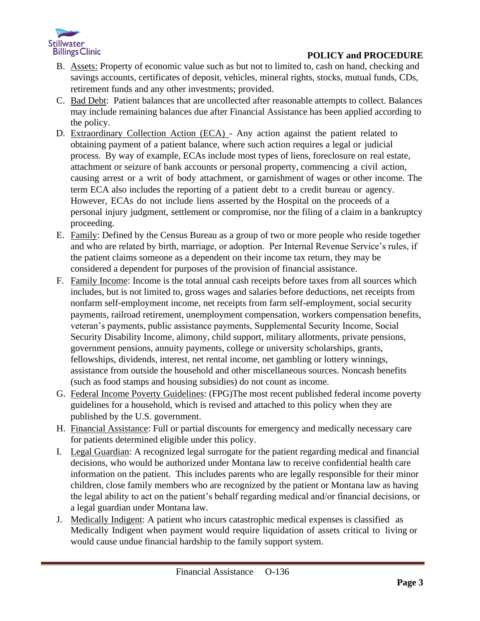

- B. Assets: Property of economic value such as but not to limited to, cash on hand, checking and savings accounts, certificates of deposit, vehicles, mineral rights, stocks, mutual funds, CDs, retirement funds and any other investments; provided.
- C. Bad Debt: Patient balances that are uncollected after reasonable attempts to collect. Balances may include remaining balances due after Financial Assistance has been applied according to the policy.
- D. Extraordinary Collection Action (ECA) Any action against the patient related to obtaining payment of a patient balance, where such action requires a legal or judicial process. By way of example, ECAs include most types of liens, foreclosure on real estate, attachment or seizure of bank accounts or personal property, commencing a civil action, causing arrest or a writ of body attachment, or garnishment of wages or other income. The term ECA also includes the reporting of a patient debt to a credit bureau or agency. However, ECAs do not include liens asserted by the Hospital on the proceeds of a personal injury judgment, settlement or compromise, nor the filing of a claim in a bankruptcy proceeding.
- E. Family: Defined by the Census Bureau as a group of two or more people who reside together and who are related by birth, marriage, or adoption. Per Internal Revenue Service's rules, if the patient claims someone as a dependent on their income tax return, they may be considered a dependent for purposes of the provision of financial assistance.
- F. Family Income: Income is the total annual cash receipts before taxes from all sources which includes, but is not limited to, gross wages and salaries before deductions, net receipts from nonfarm self-employment income, net receipts from farm self-employment, social security payments, railroad retirement, unemployment compensation, workers compensation benefits, veteran's payments, public assistance payments, Supplemental Security Income, Social Security Disability Income, alimony, child support, military allotments, private pensions, government pensions, annuity payments, college or university scholarships, grants, fellowships, dividends, interest, net rental income, net gambling or lottery winnings, assistance from outside the household and other miscellaneous sources. Noncash benefits (such as food stamps and housing subsidies) do not count as income.
- G. Federal Income Poverty Guidelines: (FPG)The most recent published federal income poverty guidelines for a household, which is revised and attached to this policy when they are published by the U.S. government.
- H. Financial Assistance: Full or partial discounts for emergency and medically necessary care for patients determined eligible under this policy.
- I. Legal Guardian: A recognized legal surrogate for the patient regarding medical and financial decisions, who would be authorized under Montana law to receive confidential health care information on the patient. This includes parents who are legally responsible for their minor children, close family members who are recognized by the patient or Montana law as having the legal ability to act on the patient's behalf regarding medical and/or financial decisions, or a legal guardian under Montana law.
- J. Medically Indigent: A patient who incurs catastrophic medical expenses is classified as Medically Indigent when payment would require liquidation of assets critical to living or would cause undue financial hardship to the family support system.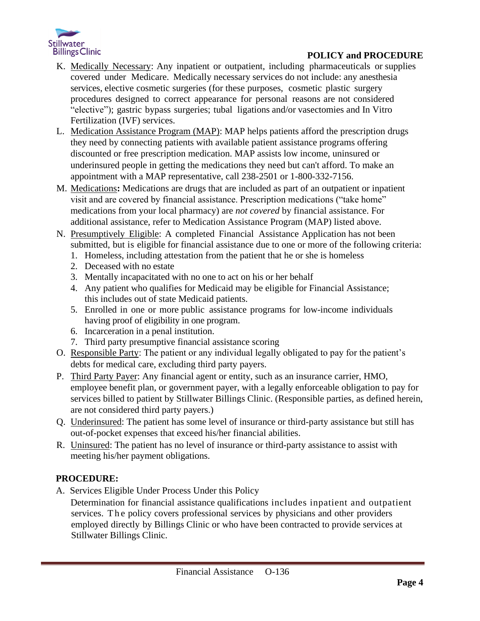

- K. Medically Necessary: Any inpatient or outpatient, including pharmaceuticals or supplies covered under Medicare. Medically necessary services do not include: any anesthesia services, elective cosmetic surgeries (for these purposes, cosmetic plastic surgery procedures designed to correct appearance for personal reasons are not considered "elective"); gastric bypass surgeries; tubal ligations and/or vasectomies and In Vitro Fertilization (IVF) services.
- L. Medication Assistance Program (MAP): MAP helps patients afford the prescription drugs they need by connecting patients with available patient assistance programs offering discounted or free prescription medication. MAP assists low income, uninsured or underinsured people in getting the medications they need but can't afford. To make an appointment with a MAP representative, call 238-2501 or 1-800-332-7156.
- M. Medications**:** Medications are drugs that are included as part of an outpatient or inpatient visit and are covered by financial assistance. Prescription medications ("take home" medications from your local pharmacy) are *not covered* by financial assistance. For additional assistance, refer to Medication Assistance Program (MAP) listed above.
- N. Presumptively Eligible: A completed Financial Assistance Application has not been submitted, but is eligible for financial assistance due to one or more of the following criteria:
	- 1. Homeless, including attestation from the patient that he or she is homeless
	- 2. Deceased with no estate
	- 3. Mentally incapacitated with no one to act on his or her behalf
	- 4. Any patient who qualifies for Medicaid may be eligible for Financial Assistance; this includes out of state Medicaid patients.
	- 5. Enrolled in one or more public assistance programs for low-income individuals having proof of eligibility in one program.
	- 6. Incarceration in a penal institution.
	- 7. Third party presumptive financial assistance scoring
- O. Responsible Party: The patient or any individual legally obligated to pay for the patient's debts for medical care, excluding third party payers.
- P. Third Party Payer: Any financial agent or entity, such as an insurance carrier, HMO, employee benefit plan, or government payer, with a legally enforceable obligation to pay for services billed to patient by Stillwater Billings Clinic. (Responsible parties, as defined herein, are not considered third party payers.)
- Q. Underinsured: The patient has some level of insurance or third-party assistance but still has out-of-pocket expenses that exceed his/her financial abilities.
- R. Uninsured: The patient has no level of insurance or third-party assistance to assist with meeting his/her payment obligations.

# **PROCEDURE:**

A. Services Eligible Under Process Under this Policy

 Determination for financial assistance qualifications includes inpatient and outpatient services. The policy covers professional services by physicians and other providers employed directly by Billings Clinic or who have been contracted to provide services at Stillwater Billings Clinic.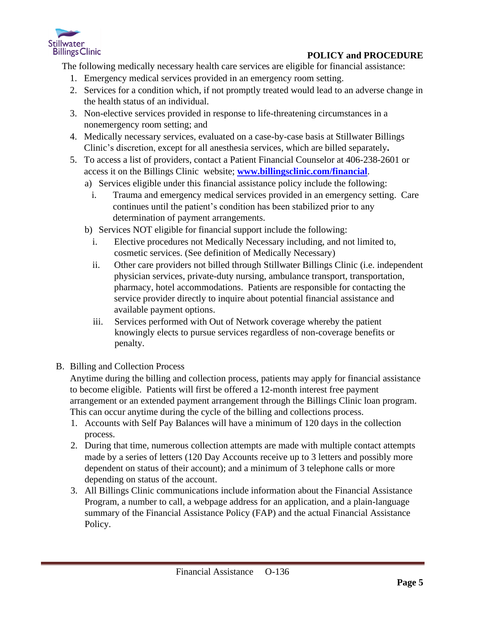

The following medically necessary health care services are eligible for financial assistance:

- 1. Emergency medical services provided in an emergency room setting.
- 2. Services for a condition which, if not promptly treated would lead to an adverse change in the health status of an individual.
- 3. Non-elective services provided in response to life-threatening circumstances in a nonemergency room setting; and
- 4. Medically necessary services, evaluated on a case-by-case basis at Stillwater Billings Clinic's discretion, except for all anesthesia services, which are billed separately**.**
- 5. To access a list of providers, contact a Patient Financial Counselor at 406-238-2601 or access it on the Billings Clinic website; **[www.billingsclinic.com/financial](http://www.billingsclinic.com/financial)**[.](http://www.billingsclinic.com/financial) 
	- a) Services eligible under this financial assistance policy include the following:
		- i. Trauma and emergency medical services provided in an emergency setting. Care continues until the patient's condition has been stabilized prior to any determination of payment arrangements.
	- b) Services NOT eligible for financial support include the following:
		- i. Elective procedures not Medically Necessary including, and not limited to, cosmetic services. (See definition of Medically Necessary)
		- ii. Other care providers not billed through Stillwater Billings Clinic (i.e. independent physician services, private-duty nursing, ambulance transport, transportation, pharmacy, hotel accommodations. Patients are responsible for contacting the service provider directly to inquire about potential financial assistance and available payment options.
		- iii. Services performed with Out of Network coverage whereby the patient knowingly elects to pursue services regardless of non-coverage benefits or penalty.
- B. Billing and Collection Process

Anytime during the billing and collection process, patients may apply for financial assistance to become eligible. Patients will first be offered a 12-month interest free payment arrangement or an extended payment arrangement through the Billings Clinic loan program. This can occur anytime during the cycle of the billing and collections process.

- 1. Accounts with Self Pay Balances will have a minimum of 120 days in the collection process.
- 2. During that time, numerous collection attempts are made with multiple contact attempts made by a series of letters (120 Day Accounts receive up to 3 letters and possibly more dependent on status of their account); and a minimum of 3 telephone calls or more depending on status of the account.
- 3. All Billings Clinic communications include information about the Financial Assistance Program, a number to call, a webpage address for an application, and a plain-language summary of the Financial Assistance Policy (FAP) and the actual Financial Assistance Policy.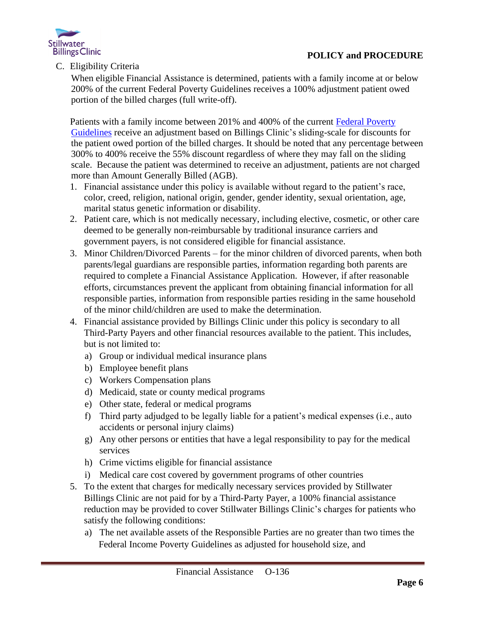

C. Eligibility Criteria

When eligible Financial Assistance is determined, patients with a family income at or below 200% of the current Federal Poverty Guidelines receives a 100% adjustment patient owed portion of the billed charges (full write-off).

Patients with a family income between 201% and 400% of the current [Federal Poverty](https://ncstoragemlbillings.blob.core.windows.net/public/Federal-Poverty-Guidelines.xlsx)  [Guidelines](https://ncstoragemlbillings.blob.core.windows.net/public/Federal-Poverty-Guidelines.xlsx) receive an adjustment based on Billings Clinic's sliding-scale for discounts for the patient owed portion of the billed charges. It should be noted that any percentage between 300% to 400% receive the 55% discount regardless of where they may fall on the sliding scale. Because the patient was determined to receive an adjustment, patients are not charged more than Amount Generally Billed (AGB).

- 1. Financial assistance under this policy is available without regard to the patient's race, color, creed, religion, national origin, gender, gender identity, sexual orientation, age, marital status genetic information or disability.
- 2. Patient care, which is not medically necessary, including elective, cosmetic, or other care deemed to be generally non-reimbursable by traditional insurance carriers and government payers, is not considered eligible for financial assistance.
- 3. Minor Children/Divorced Parents for the minor children of divorced parents, when both parents/legal guardians are responsible parties, information regarding both parents are required to complete a Financial Assistance Application. However, if after reasonable efforts, circumstances prevent the applicant from obtaining financial information for all responsible parties, information from responsible parties residing in the same household of the minor child/children are used to make the determination.
- 4. Financial assistance provided by Billings Clinic under this policy is secondary to all Third-Party Payers and other financial resources available to the patient. This includes, but is not limited to:
	- a) Group or individual medical insurance plans
	- b) Employee benefit plans
	- c) Workers Compensation plans
	- d) Medicaid, state or county medical programs
	- e) Other state, federal or medical programs
	- f) Third party adjudged to be legally liable for a patient's medical expenses (i.e., auto accidents or personal injury claims)
	- g) Any other persons or entities that have a legal responsibility to pay for the medical services
	- h) Crime victims eligible for financial assistance
	- i) Medical care cost covered by government programs of other countries
- 5. To the extent that charges for medically necessary services provided by Stillwater Billings Clinic are not paid for by a Third-Party Payer, a 100% financial assistance reduction may be provided to cover Stillwater Billings Clinic's charges for patients who satisfy the following conditions:
	- a) The net available assets of the Responsible Parties are no greater than two times the Federal Income Poverty Guidelines as adjusted for household size, and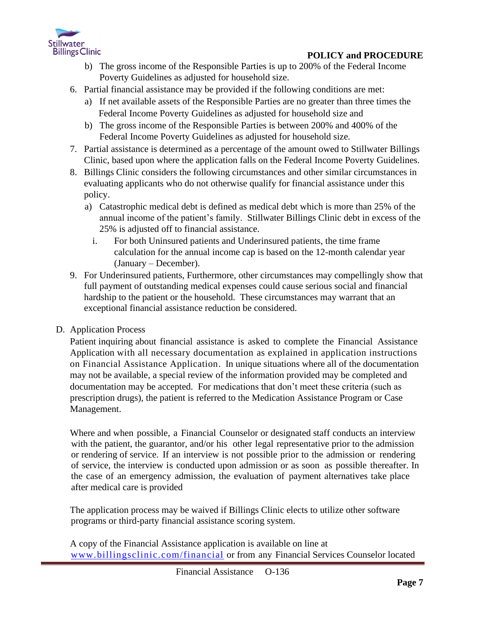

- b) The gross income of the Responsible Parties is up to 200% of the Federal Income Poverty Guidelines as adjusted for household size.
- 6. Partial financial assistance may be provided if the following conditions are met:
	- a) If net available assets of the Responsible Parties are no greater than three times the Federal Income Poverty Guidelines as adjusted for household size and
	- b) The gross income of the Responsible Parties is between 200% and 400% of the Federal Income Poverty Guidelines as adjusted for household size.
- 7. Partial assistance is determined as a percentage of the amount owed to Stillwater Billings Clinic, based upon where the application falls on the Federal Income Poverty Guidelines.
- 8. Billings Clinic considers the following circumstances and other similar circumstances in evaluating applicants who do not otherwise qualify for financial assistance under this policy.
	- a) Catastrophic medical debt is defined as medical debt which is more than 25% of the annual income of the patient's family. Stillwater Billings Clinic debt in excess of the 25% is adjusted off to financial assistance.
		- i. For both Uninsured patients and Underinsured patients, the time frame calculation for the annual income cap is based on the 12-month calendar year (January – December).
- 9. For Underinsured patients, Furthermore, other circumstances may compellingly show that full payment of outstanding medical expenses could cause serious social and financial hardship to the patient or the household. These circumstances may warrant that an exceptional financial assistance reduction be considered.
- D. Application Process

Patient inquiring about financial assistance is asked to complete the Financial Assistance Application with all necessary documentation as explained in application instructions on Financial Assistance Application. In unique situations where all of the documentation may not be available, a special review of the information provided may be completed and documentation may be accepted. For medications that don't meet these criteria (such as prescription drugs), the patient is referred to the Medication Assistance Program or Case Management.

Where and when possible, a Financial Counselor or designated staff conducts an interview with the patient, the guarantor, and/or his other legal representative prior to the admission or rendering of service. If an interview is not possible prior to the admission or rendering of service, the interview is conducted upon admission or as soon as possible thereafter. In the case of an emergency admission, the evaluation of payment alternatives take place after medical care is provided

The application process may be waived if Billings Clinic elects to utilize other software programs or third-party financial assistance scoring system.

A copy of the Financial Assistance application is available on line at [www.billingsclinic.com/financial](http://www.billingsclinic.com/financial) or from any Financial Services Counselor located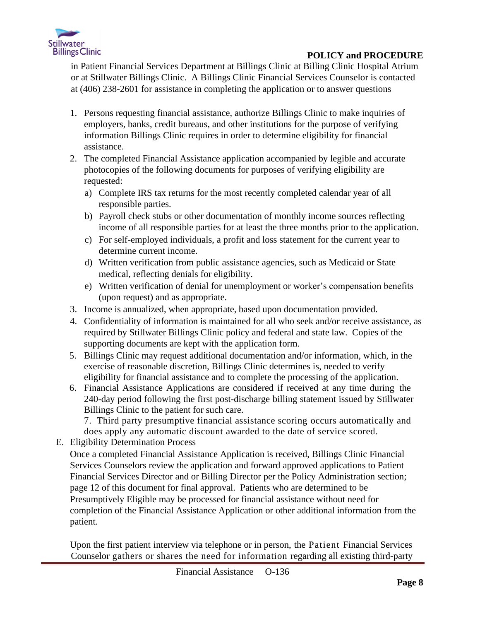

in Patient Financial Services Department at Billings Clinic at Billing Clinic Hospital Atrium or at Stillwater Billings Clinic. A Billings Clinic Financial Services Counselor is contacted at (406) 238-2601 for assistance in completing the application or to answer questions

- 1. Persons requesting financial assistance, authorize Billings Clinic to make inquiries of employers, banks, credit bureaus, and other institutions for the purpose of verifying information Billings Clinic requires in order to determine eligibility for financial assistance.
- 2. The completed Financial Assistance application accompanied by legible and accurate photocopies of the following documents for purposes of verifying eligibility are requested:
	- a) Complete IRS tax returns for the most recently completed calendar year of all responsible parties.
	- b) Payroll check stubs or other documentation of monthly income sources reflecting income of all responsible parties for at least the three months prior to the application.
	- c) For self-employed individuals, a profit and loss statement for the current year to determine current income.
	- d) Written verification from public assistance agencies, such as Medicaid or State medical, reflecting denials for eligibility.
	- e) Written verification of denial for unemployment or worker's compensation benefits (upon request) and as appropriate.
- 3. Income is annualized, when appropriate, based upon documentation provided.
- 4. Confidentiality of information is maintained for all who seek and/or receive assistance, as required by Stillwater Billings Clinic policy and federal and state law. Copies of the supporting documents are kept with the application form.
- 5. Billings Clinic may request additional documentation and/or information, which, in the exercise of reasonable discretion, Billings Clinic determines is, needed to verify eligibility for financial assistance and to complete the processing of the application.
- 6. Financial Assistance Applications are considered if received at any time during the 240-day period following the first post-discharge billing statement issued by Stillwater Billings Clinic to the patient for such care.

7. Third party presumptive financial assistance scoring occurs automatically and does apply any automatic discount awarded to the date of service scored.

E. Eligibility Determination Process

Once a completed Financial Assistance Application is received, Billings Clinic Financial Services Counselors review the application and forward approved applications to Patient Financial Services Director and or Billing Director per the Policy Administration section; page 12 of this document for final approval. Patients who are determined to be Presumptively Eligible may be processed for financial assistance without need for completion of the Financial Assistance Application or other additional information from the patient.

Upon the first patient interview via telephone or in person, the Patient Financial Services Counselor gathers or shares the need for information regarding all existing third-party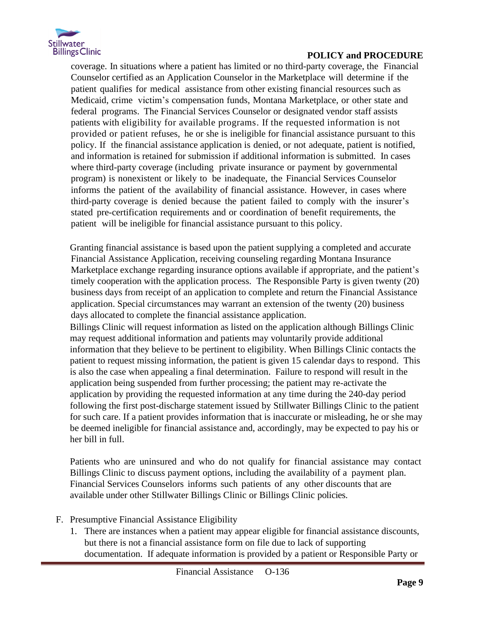

coverage. In situations where a patient has limited or no third-party coverage, the Financial Counselor certified as an Application Counselor in the Marketplace will determine if the patient qualifies for medical assistance from other existing financial resources such as Medicaid, crime victim's compensation funds, Montana Marketplace, or other state and federal programs. The Financial Services Counselor or designated vendor staff assists patients with eligibility for available programs. If the requested information is not provided or patient refuses, he or she is ineligible for financial assistance pursuant to this policy. If the financial assistance application is denied, or not adequate, patient is notified, and information is retained for submission if additional information is submitted. In cases where third-party coverage (including private insurance or payment by governmental program) is nonexistent or likely to be inadequate, the Financial Services Counselor informs the patient of the availability of financial assistance. However, in cases where third-party coverage is denied because the patient failed to comply with the insurer's stated pre-certification requirements and or coordination of benefit requirements, the patient will be ineligible for financial assistance pursuant to this policy.

Granting financial assistance is based upon the patient supplying a completed and accurate Financial Assistance Application, receiving counseling regarding Montana Insurance Marketplace exchange regarding insurance options available if appropriate, and the patient's timely cooperation with the application process. The Responsible Party is given twenty (20) business days from receipt of an application to complete and return the Financial Assistance application. Special circumstances may warrant an extension of the twenty (20) business days allocated to complete the financial assistance application.

Billings Clinic will request information as listed on the application although Billings Clinic may request additional information and patients may voluntarily provide additional information that they believe to be pertinent to eligibility. When Billings Clinic contacts the patient to request missing information, the patient is given 15 calendar days to respond. This is also the case when appealing a final determination. Failure to respond will result in the application being suspended from further processing; the patient may re-activate the application by providing the requested information at any time during the 240-day period following the first post-discharge statement issued by Stillwater Billings Clinic to the patient for such care. If a patient provides information that is inaccurate or misleading, he or she may be deemed ineligible for financial assistance and, accordingly, may be expected to pay his or her bill in full.

Patients who are uninsured and who do not qualify for financial assistance may contact Billings Clinic to discuss payment options, including the availability of a payment plan. Financial Services Counselors informs such patients of any other discounts that are available under other Stillwater Billings Clinic or Billings Clinic policies.

- F. Presumptive Financial Assistance Eligibility
	- 1. There are instances when a patient may appear eligible for financial assistance discounts, but there is not a financial assistance form on file due to lack of supporting documentation. If adequate information is provided by a patient or Responsible Party or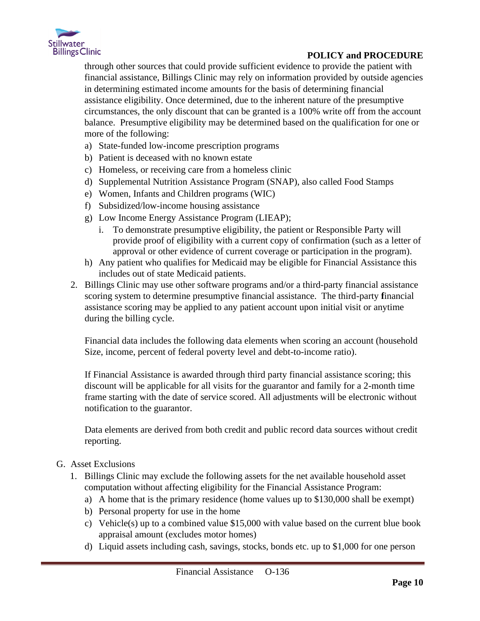

through other sources that could provide sufficient evidence to provide the patient with financial assistance, Billings Clinic may rely on information provided by outside agencies in determining estimated income amounts for the basis of determining financial assistance eligibility. Once determined, due to the inherent nature of the presumptive circumstances, the only discount that can be granted is a 100% write off from the account balance. Presumptive eligibility may be determined based on the qualification for one or more of the following:

- a) State-funded low-income prescription programs
- b) Patient is deceased with no known estate
- c) Homeless, or receiving care from a homeless clinic
- d) Supplemental Nutrition Assistance Program (SNAP), also called Food Stamps
- e) Women, Infants and Children programs (WIC)
- f) Subsidized/low-income housing assistance
- g) Low Income Energy Assistance Program (LIEAP);
	- i. To demonstrate presumptive eligibility, the patient or Responsible Party will provide proof of eligibility with a current copy of confirmation (such as a letter of approval or other evidence of current coverage or participation in the program).
- h) Any patient who qualifies for Medicaid may be eligible for Financial Assistance this includes out of state Medicaid patients.
- 2. Billings Clinic may use other software programs and/or a third-party financial assistance scoring system to determine presumptive financial assistance. The third-party **f**inancial assistance scoring may be applied to any patient account upon initial visit or anytime during the billing cycle.

Financial data includes the following data elements when scoring an account (household Size, income, percent of federal poverty level and debt-to-income ratio).

If Financial Assistance is awarded through third party financial assistance scoring; this discount will be applicable for all visits for the guarantor and family for a 2-month time frame starting with the date of service scored. All adjustments will be electronic without notification to the guarantor.

Data elements are derived from both credit and public record data sources without credit reporting.

### G. Asset Exclusions

- 1. Billings Clinic may exclude the following assets for the net available household asset computation without affecting eligibility for the Financial Assistance Program:
	- a) A home that is the primary residence (home values up to \$130,000 shall be exempt)
	- b) Personal property for use in the home
	- c) Vehicle(s) up to a combined value \$15,000 with value based on the current blue book appraisal amount (excludes motor homes)
	- d) Liquid assets including cash, savings, stocks, bonds etc. up to \$1,000 for one person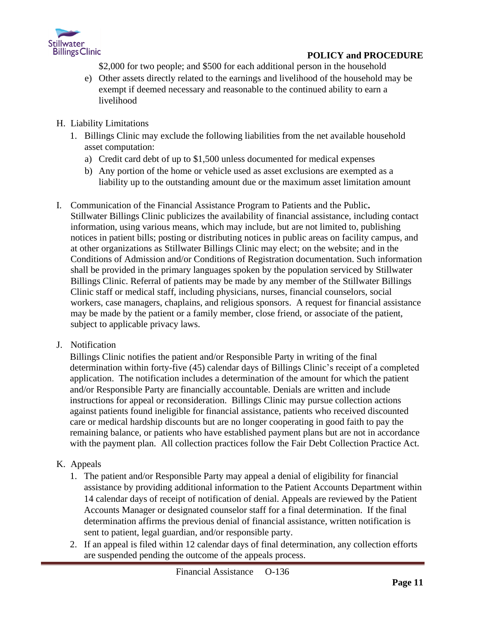

\$2,000 for two people; and \$500 for each additional person in the household

- e) Other assets directly related to the earnings and livelihood of the household may be exempt if deemed necessary and reasonable to the continued ability to earn a livelihood
- H. Liability Limitations
	- 1. Billings Clinic may exclude the following liabilities from the net available household asset computation:
		- a) Credit card debt of up to \$1,500 unless documented for medical expenses
		- b) Any portion of the home or vehicle used as asset exclusions are exempted as a liability up to the outstanding amount due or the maximum asset limitation amount
- I. Communication of the Financial Assistance Program to Patients and the Public**.** Stillwater Billings Clinic publicizes the availability of financial assistance, including contact information, using various means, which may include, but are not limited to, publishing notices in patient bills; posting or distributing notices in public areas on facility campus, and at other organizations as Stillwater Billings Clinic may elect; on the website; and in the Conditions of Admission and/or Conditions of Registration documentation. Such information shall be provided in the primary languages spoken by the population serviced by Stillwater Billings Clinic. Referral of patients may be made by any member of the Stillwater Billings Clinic staff or medical staff, including physicians, nurses, financial counselors, social workers, case managers, chaplains, and religious sponsors. A request for financial assistance may be made by the patient or a family member, close friend, or associate of the patient, subject to applicable privacy laws.
- J. Notification

Billings Clinic notifies the patient and/or Responsible Party in writing of the final determination within forty-five (45) calendar days of Billings Clinic's receipt of a completed application. The notification includes a determination of the amount for which the patient and/or Responsible Party are financially accountable. Denials are written and include instructions for appeal or reconsideration. Billings Clinic may pursue collection actions against patients found ineligible for financial assistance, patients who received discounted care or medical hardship discounts but are no longer cooperating in good faith to pay the remaining balance, or patients who have established payment plans but are not in accordance with the payment plan. All collection practices follow the Fair Debt Collection Practice Act.

### K. Appeals

- 1. The patient and/or Responsible Party may appeal a denial of eligibility for financial assistance by providing additional information to the Patient Accounts Department within 14 calendar days of receipt of notification of denial. Appeals are reviewed by the Patient Accounts Manager or designated counselor staff for a final determination. If the final determination affirms the previous denial of financial assistance, written notification is sent to patient, legal guardian, and/or responsible party.
- 2. If an appeal is filed within 12 calendar days of final determination, any collection efforts are suspended pending the outcome of the appeals process.